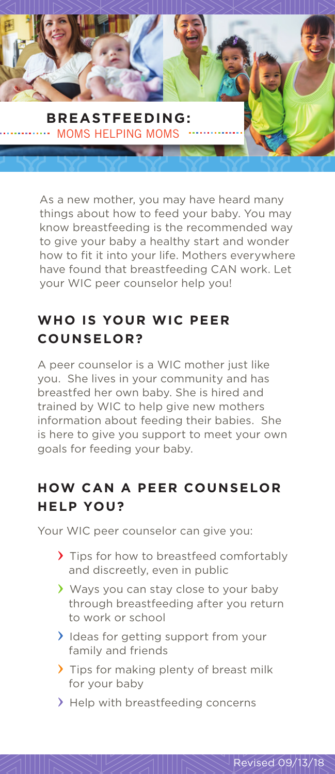

As a new mother, you may have heard many things about how to feed your baby. You may know breastfeeding is the recommended way to give your baby a healthy start and wonder how to fit it into your life. Mothers everywhere have found that breastfeeding CAN work. Let your WIC peer counselor help you!

# **WHO IS YOUR WIC PEER COUNSELOR?**

A peer counselor is a WIC mother just like you. She lives in your community and has breastfed her own baby. She is hired and trained by WIC to help give new mothers information about feeding their babies. She is here to give you support to meet your own goals for feeding your baby.

#### **HOW CAN A PEER COUNSELOR HELP YOU?**

Your WIC peer counselor can give you:

- Tips for how to breastfeed comfortably and discreetly, even in public
- Ways you can stay close to your baby through breastfeeding after you return to work or school
- I Ideas for getting support from your family and friends
- Tips for making plenty of breast milk for your baby
- > Help with breastfeeding concerns